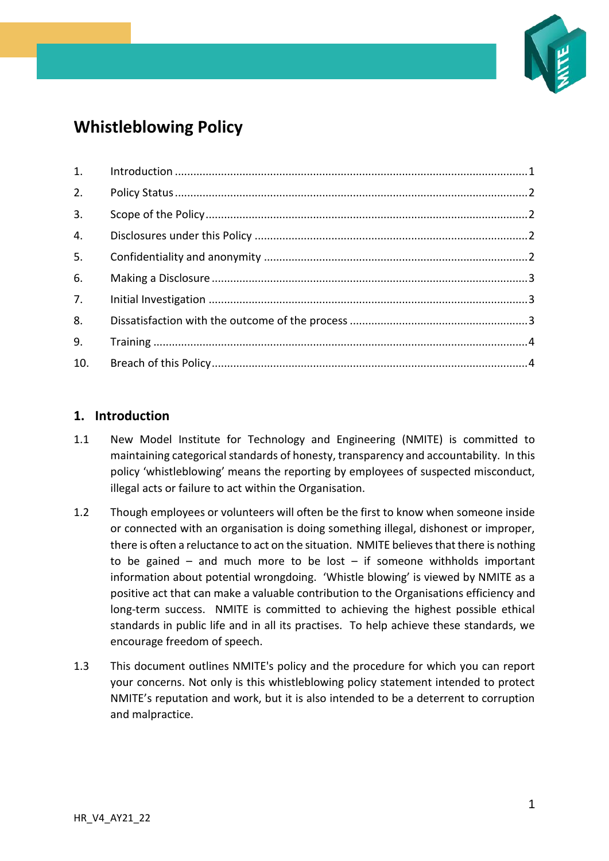

# **Whistleblowing Policy**

# <span id="page-0-0"></span>**1. Introduction**

- 1.1 New Model Institute for Technology and Engineering (NMITE) is committed to maintaining categorical standards of honesty, transparency and accountability. In this policy 'whistleblowing' means the reporting by employees of suspected misconduct, illegal acts or failure to act within the Organisation.
- 1.2 Though employees or volunteers will often be the first to know when someone inside or connected with an organisation is doing something illegal, dishonest or improper, there is often a reluctance to act on the situation. NMITE believes that there is nothing to be gained – and much more to be lost – if someone withholds important information about potential wrongdoing. 'Whistle blowing' is viewed by NMITE as a positive act that can make a valuable contribution to the Organisations efficiency and long-term success. NMITE is committed to achieving the highest possible ethical standards in public life and in all its practises. To help achieve these standards, we encourage freedom of speech.
- 1.3 This document outlines NMITE's policy and the procedure for which you can report your concerns. Not only is this whistleblowing policy statement intended to protect NMITE's reputation and work, but it is also intended to be a deterrent to corruption and malpractice.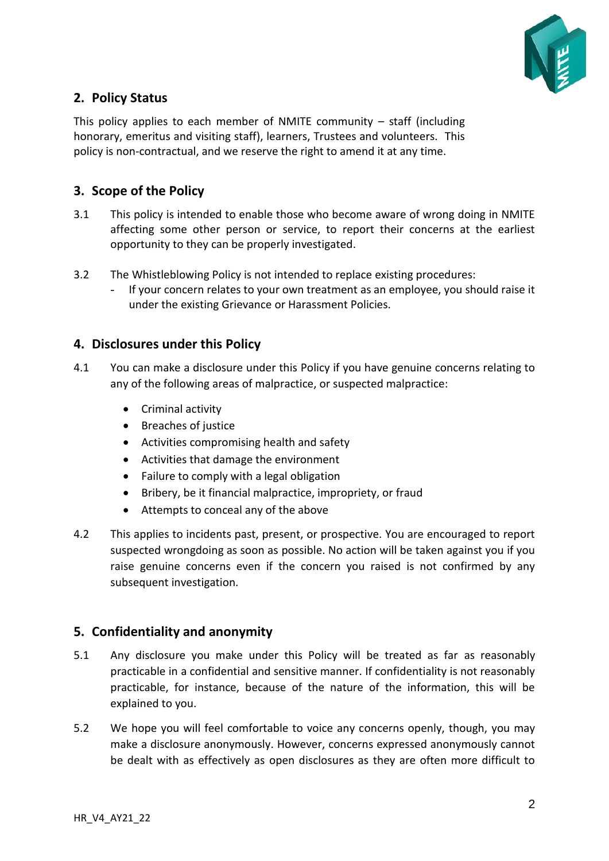

# <span id="page-1-0"></span>**2. Policy Status**

This policy applies to each member of NMITE community  $-$  staff (including honorary, emeritus and visiting staff), learners, Trustees and volunteers. This policy is non-contractual, and we reserve the right to amend it at any time.

# <span id="page-1-1"></span>**3. Scope of the Policy**

- 3.1 This policy is intended to enable those who become aware of wrong doing in NMITE affecting some other person or service, to report their concerns at the earliest opportunity to they can be properly investigated.
- 3.2 The Whistleblowing Policy is not intended to replace existing procedures:
	- If your concern relates to your own treatment as an employee, you should raise it under the existing Grievance or Harassment Policies.

#### <span id="page-1-2"></span>**4. Disclosures under this Policy**

- 4.1 You can make a disclosure under this Policy if you have genuine concerns relating to any of the following areas of malpractice, or suspected malpractice:
	- Criminal activity
	- Breaches of justice
	- Activities compromising health and safety
	- Activities that damage the environment
	- Failure to comply with a legal obligation
	- Bribery, be it financial malpractice, impropriety, or fraud
	- Attempts to conceal any of the above
- 4.2 This applies to incidents past, present, or prospective. You are encouraged to report suspected wrongdoing as soon as possible. No action will be taken against you if you raise genuine concerns even if the concern you raised is not confirmed by any subsequent investigation.

# <span id="page-1-3"></span>**5. Confidentiality and anonymity**

- 5.1 Any disclosure you make under this Policy will be treated as far as reasonably practicable in a confidential and sensitive manner. If confidentiality is not reasonably practicable, for instance, because of the nature of the information, this will be explained to you.
- 5.2 We hope you will feel comfortable to voice any concerns openly, though, you may make a disclosure anonymously. However, concerns expressed anonymously cannot be dealt with as effectively as open disclosures as they are often more difficult to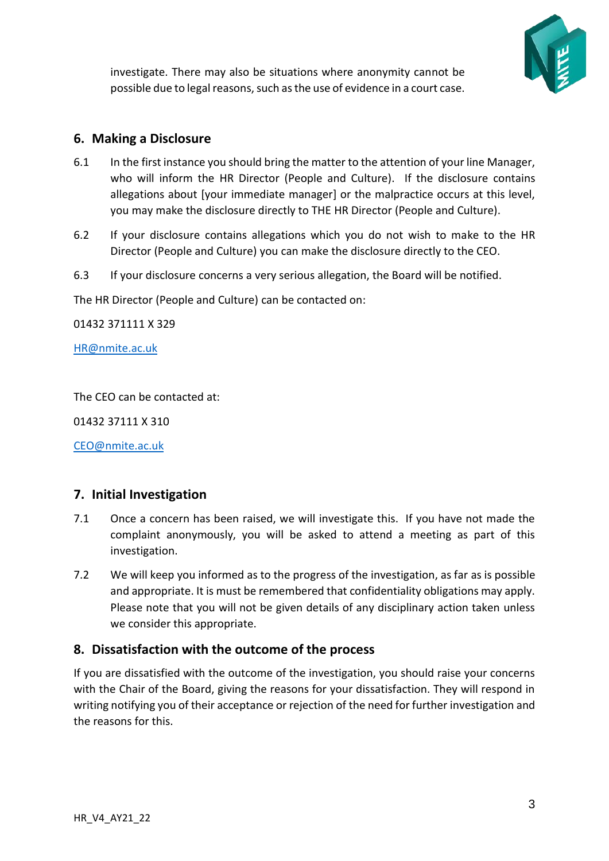

investigate. There may also be situations where anonymity cannot be possible due to legal reasons, such as the use of evidence in a court case.

# <span id="page-2-0"></span>**6. Making a Disclosure**

- 6.1 In the first instance you should bring the matter to the attention of your line Manager, who will inform the HR Director (People and Culture). If the disclosure contains allegations about [your immediate manager] or the malpractice occurs at this level, you may make the disclosure directly to THE HR Director (People and Culture).
- 6.2 If your disclosure contains allegations which you do not wish to make to the HR Director (People and Culture) you can make the disclosure directly to the CEO.
- 6.3 If your disclosure concerns a very serious allegation, the Board will be notified.

The HR Director (People and Culture) can be contacted on:

01432 371111 X 329

[HR@nmite.ac.uk](mailto:HR@nmite.ac.uk)

The CEO can be contacted at:

01432 37111 X 310

[CEO@nmite.ac.uk](mailto:CEO@nmite.ac.uk)

# <span id="page-2-1"></span>**7. Initial Investigation**

- 7.1 Once a concern has been raised, we will investigate this. If you have not made the complaint anonymously, you will be asked to attend a meeting as part of this investigation.
- 7.2 We will keep you informed as to the progress of the investigation, as far as is possible and appropriate. It is must be remembered that confidentiality obligations may apply. Please note that you will not be given details of any disciplinary action taken unless we consider this appropriate.

# <span id="page-2-2"></span>**8. Dissatisfaction with the outcome of the process**

If you are dissatisfied with the outcome of the investigation, you should raise your concerns with the Chair of the Board, giving the reasons for your dissatisfaction. They will respond in writing notifying you of their acceptance or rejection of the need for further investigation and the reasons for this.